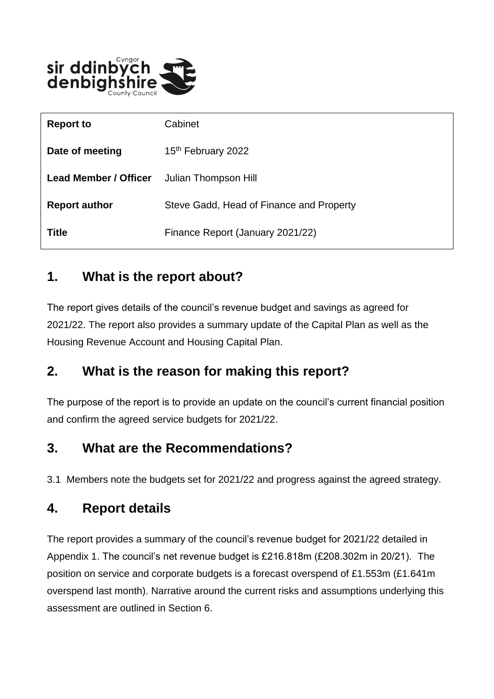

| <b>Report to</b>             | Cabinet                                  |
|------------------------------|------------------------------------------|
| Date of meeting              | 15 <sup>th</sup> February 2022           |
| <b>Lead Member / Officer</b> | Julian Thompson Hill                     |
| <b>Report author</b>         | Steve Gadd, Head of Finance and Property |
| <b>Title</b>                 | Finance Report (January 2021/22)         |

### **1. What is the report about?**

The report gives details of the council's revenue budget and savings as agreed for 2021/22. The report also provides a summary update of the Capital Plan as well as the Housing Revenue Account and Housing Capital Plan.

### **2. What is the reason for making this report?**

The purpose of the report is to provide an update on the council's current financial position and confirm the agreed service budgets for 2021/22.

## **3. What are the Recommendations?**

3.1 Members note the budgets set for 2021/22 and progress against the agreed strategy.

### **4. Report details**

The report provides a summary of the council's revenue budget for 2021/22 detailed in Appendix 1. The council's net revenue budget is £216.818m (£208.302m in 20/21). The position on service and corporate budgets is a forecast overspend of £1.553m (£1.641m overspend last month). Narrative around the current risks and assumptions underlying this assessment are outlined in Section 6.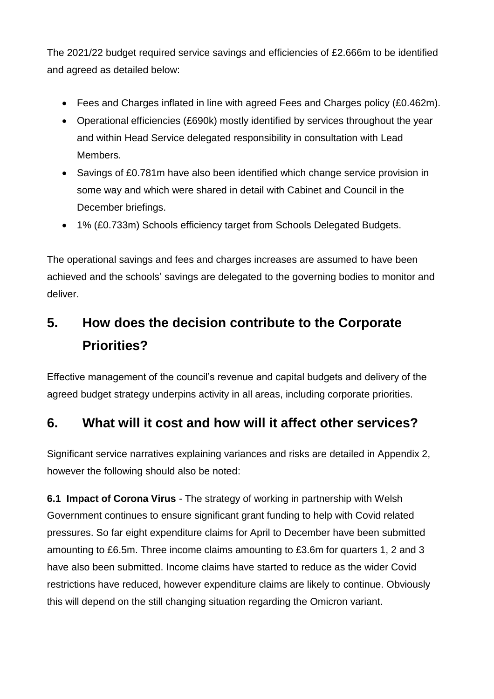The 2021/22 budget required service savings and efficiencies of £2.666m to be identified and agreed as detailed below:

- Fees and Charges inflated in line with agreed Fees and Charges policy (£0.462m).
- Operational efficiencies (£690k) mostly identified by services throughout the year and within Head Service delegated responsibility in consultation with Lead Members.
- Savings of £0.781m have also been identified which change service provision in some way and which were shared in detail with Cabinet and Council in the December briefings.
- 1% (£0.733m) Schools efficiency target from Schools Delegated Budgets.

The operational savings and fees and charges increases are assumed to have been achieved and the schools' savings are delegated to the governing bodies to monitor and deliver.

# **5. How does the decision contribute to the Corporate Priorities?**

Effective management of the council's revenue and capital budgets and delivery of the agreed budget strategy underpins activity in all areas, including corporate priorities.

## **6. What will it cost and how will it affect other services?**

Significant service narratives explaining variances and risks are detailed in Appendix 2, however the following should also be noted:

**6.1 Impact of Corona Virus** - The strategy of working in partnership with Welsh Government continues to ensure significant grant funding to help with Covid related pressures. So far eight expenditure claims for April to December have been submitted amounting to £6.5m. Three income claims amounting to £3.6m for quarters 1, 2 and 3 have also been submitted. Income claims have started to reduce as the wider Covid restrictions have reduced, however expenditure claims are likely to continue. Obviously this will depend on the still changing situation regarding the Omicron variant.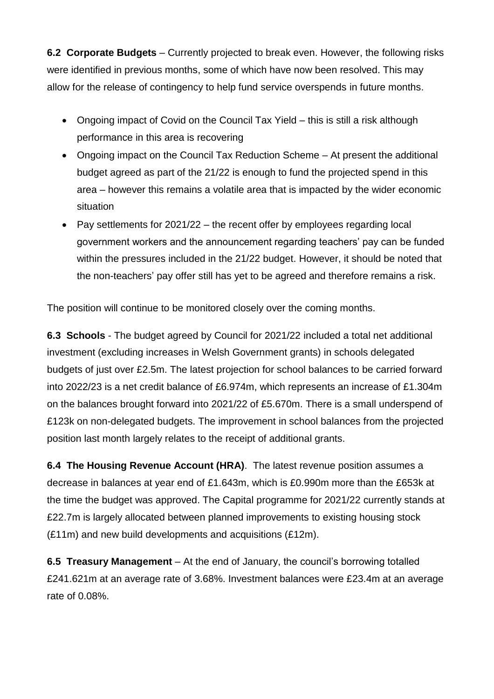**6.2 Corporate Budgets** – Currently projected to break even. However, the following risks were identified in previous months, some of which have now been resolved. This may allow for the release of contingency to help fund service overspends in future months.

- Ongoing impact of Covid on the Council Tax Yield this is still a risk although performance in this area is recovering
- Ongoing impact on the Council Tax Reduction Scheme At present the additional budget agreed as part of the 21/22 is enough to fund the projected spend in this area – however this remains a volatile area that is impacted by the wider economic situation
- Pay settlements for 2021/22 the recent offer by employees regarding local government workers and the announcement regarding teachers' pay can be funded within the pressures included in the 21/22 budget. However, it should be noted that the non-teachers' pay offer still has yet to be agreed and therefore remains a risk.

The position will continue to be monitored closely over the coming months.

**6.3 Schools** - The budget agreed by Council for 2021/22 included a total net additional investment (excluding increases in Welsh Government grants) in schools delegated budgets of just over £2.5m. The latest projection for school balances to be carried forward into 2022/23 is a net credit balance of £6.974m, which represents an increase of £1.304m on the balances brought forward into 2021/22 of £5.670m. There is a small underspend of £123k on non-delegated budgets. The improvement in school balances from the projected position last month largely relates to the receipt of additional grants.

**6.4 The Housing Revenue Account (HRA)**. The latest revenue position assumes a decrease in balances at year end of £1.643m, which is £0.990m more than the £653k at the time the budget was approved. The Capital programme for 2021/22 currently stands at £22.7m is largely allocated between planned improvements to existing housing stock (£11m) and new build developments and acquisitions (£12m).

**6.5 Treasury Management** – At the end of January, the council's borrowing totalled £241.621m at an average rate of 3.68%. Investment balances were £23.4m at an average rate of 0.08%.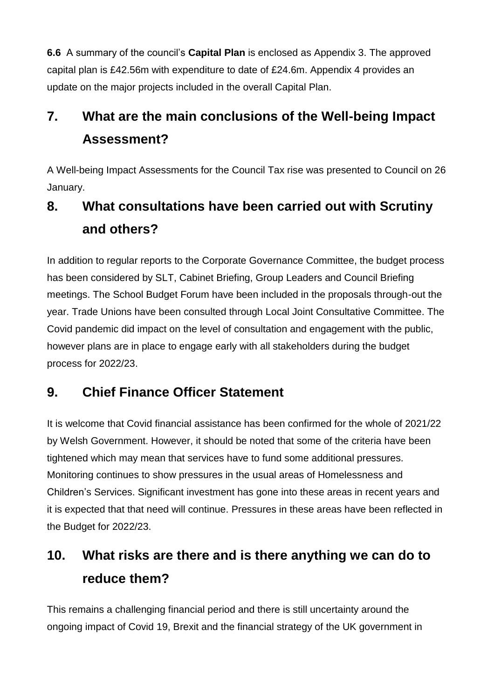**6.6** A summary of the council's **Capital Plan** is enclosed as Appendix 3. The approved capital plan is £42.56m with expenditure to date of £24.6m. Appendix 4 provides an update on the major projects included in the overall Capital Plan.

# **7. What are the main conclusions of the Well-being Impact Assessment?**

A Well-being Impact Assessments for the Council Tax rise was presented to Council on 26 January.

# **8. What consultations have been carried out with Scrutiny and others?**

In addition to regular reports to the Corporate Governance Committee, the budget process has been considered by SLT, Cabinet Briefing, Group Leaders and Council Briefing meetings. The School Budget Forum have been included in the proposals through-out the year. Trade Unions have been consulted through Local Joint Consultative Committee. The Covid pandemic did impact on the level of consultation and engagement with the public, however plans are in place to engage early with all stakeholders during the budget process for 2022/23.

## **9. Chief Finance Officer Statement**

It is welcome that Covid financial assistance has been confirmed for the whole of 2021/22 by Welsh Government. However, it should be noted that some of the criteria have been tightened which may mean that services have to fund some additional pressures. Monitoring continues to show pressures in the usual areas of Homelessness and Children's Services. Significant investment has gone into these areas in recent years and it is expected that that need will continue. Pressures in these areas have been reflected in the Budget for 2022/23.

# **10. What risks are there and is there anything we can do to reduce them?**

This remains a challenging financial period and there is still uncertainty around the ongoing impact of Covid 19, Brexit and the financial strategy of the UK government in